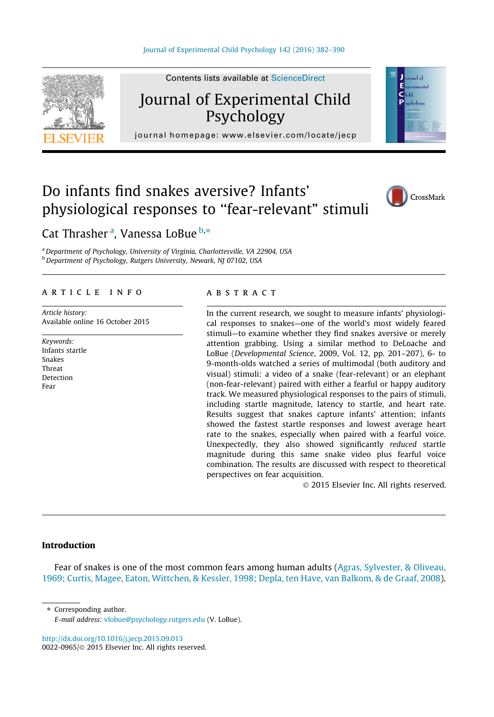

# Journal of Experimental Child Psychology

F أحاسب وأمرده  $C<sub>ball</sub>$ Þ

# journal homepage: [www.elsevier.com/locate/jecp](http://www.elsevier.com/locate/jecp)/ $j$ er.com/locate/jecp/ $j$ er.com/locate/jecp/ $j$ er.com/locate/jecp/ $j$ er.com/locate/jecp/ $j$ er.com/locate/jecp/ $j$ er.com/locate/jecp/ $j$ er.com/locate/jecp/ $j$ er.com/locate/jec

# Do infants find snakes aversive? Infants' physiological responses to ''fear-relevant" stimuli



# Cat Thrasher <sup>a</sup>, Vanessa LoBue <sup>b,\*</sup>

a Department of Psychology, University of Virginia, Charlottesville, VA 22904, USA b Department of Psychology, Rutgers University, Newark, NJ 07102, USA

# article info

Article history: Available online 16 October 2015

Keywords: Infants startle Snakes Threat Detection Fear

## **ABSTRACT**

In the current research, we sought to measure infants' physiological responses to snakes—one of the world's most widely feared stimuli—to examine whether they find snakes aversive or merely attention grabbing. Using a similar method to DeLoache and LoBue (Developmental Science, 2009, Vol. 12, pp. 201–207), 6- to 9-month-olds watched a series of multimodal (both auditory and visual) stimuli: a video of a snake (fear-relevant) or an elephant (non-fear-relevant) paired with either a fearful or happy auditory track. We measured physiological responses to the pairs of stimuli, including startle magnitude, latency to startle, and heart rate. Results suggest that snakes capture infants' attention; infants showed the fastest startle responses and lowest average heart rate to the snakes, especially when paired with a fearful voice. Unexpectedly, they also showed significantly reduced startle magnitude during this same snake video plus fearful voice combination. The results are discussed with respect to theoretical perspectives on fear acquisition.

2015 Elsevier Inc. All rights reserved.

# Introduction

Fear of snakes is one of the most common fears among human adults ([Agras, Sylvester, & Oliveau,](#page-7-0) [1969; Curtis, Magee, Eaton, Wittchen, & Kessler, 1998; Depla, ten Have, van Balkom, & de Graaf, 2008](#page-7-0)).

⇑ Corresponding author.

<http://dx.doi.org/10.1016/j.jecp.2015.09.013> 0022-0965/© 2015 Elsevier Inc. All rights reserved.

E-mail address: [vlobue@psychology.rutgers.edu](mailto:vlobue@psychology.rutgers.edu) (V. LoBue).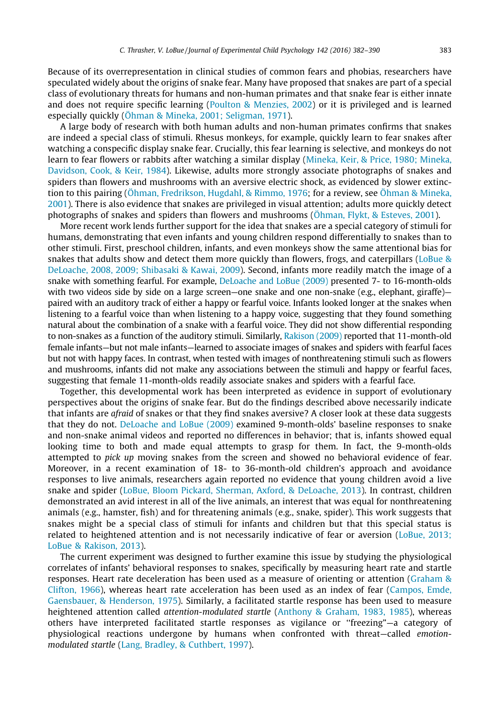Because of its overrepresentation in clinical studies of common fears and phobias, researchers have speculated widely about the origins of snake fear. Many have proposed that snakes are part of a special class of evolutionary threats for humans and non-human primates and that snake fear is either innate and does not require specific learning ([Poulton & Menzies, 2002\)](#page-8-0) or it is privileged and is learned especially quickly [\(Öhman & Mineka, 2001; Seligman, 1971](#page-8-0)).

A large body of research with both human adults and non-human primates confirms that snakes are indeed a special class of stimuli. Rhesus monkeys, for example, quickly learn to fear snakes after watching a conspecific display snake fear. Crucially, this fear learning is selective, and monkeys do not learn to fear flowers or rabbits after watching a similar display [\(Mineka, Keir, & Price, 1980; Mineka,](#page-8-0) [Davidson, Cook, & Keir, 1984](#page-8-0)). Likewise, adults more strongly associate photographs of snakes and spiders than flowers and mushrooms with an aversive electric shock, as evidenced by slower extinction to this pairing ([Öhman, Fredrikson, Hugdahl, & Rimmo, 1976](#page-8-0); for a review, see [Öhman & Mineka,](#page-8-0) [2001](#page-8-0)). There is also evidence that snakes are privileged in visual attention; adults more quickly detect photographs of snakes and spiders than flowers and mushrooms [\(Öhman, Flykt, & Esteves, 2001](#page-8-0)).

More recent work lends further support for the idea that snakes are a special category of stimuli for humans, demonstrating that even infants and young children respond differentially to snakes than to other stimuli. First, preschool children, infants, and even monkeys show the same attentional bias for snakes that adults show and detect them more quickly than flowers, frogs, and caterpillars (LoBue  $\&$ [DeLoache, 2008, 2009; Shibasaki & Kawai, 2009](#page-8-0)). Second, infants more readily match the image of a snake with something fearful. For example, [DeLoache and LoBue \(2009\)](#page-8-0) presented 7- to 16-month-olds with two videos side by side on a large screen—one snake and one non-snake (e.g., elephant, giraffe) paired with an auditory track of either a happy or fearful voice. Infants looked longer at the snakes when listening to a fearful voice than when listening to a happy voice, suggesting that they found something natural about the combination of a snake with a fearful voice. They did not show differential responding to non-snakes as a function of the auditory stimuli. Similarly, [Rakison \(2009\)](#page-8-0) reported that 11-month-old female infants—but not male infants—learned to associate images of snakes and spiders with fearful faces but not with happy faces. In contrast, when tested with images of nonthreatening stimuli such as flowers and mushrooms, infants did not make any associations between the stimuli and happy or fearful faces, suggesting that female 11-month-olds readily associate snakes and spiders with a fearful face.

Together, this developmental work has been interpreted as evidence in support of evolutionary perspectives about the origins of snake fear. But do the findings described above necessarily indicate that infants are *afraid* of snakes or that they find snakes aversive? A closer look at these data suggests that they do not. [DeLoache and LoBue \(2009\)](#page-8-0) examined 9-month-olds' baseline responses to snake and non-snake animal videos and reported no differences in behavior; that is, infants showed equal looking time to both and made equal attempts to grasp for them. In fact, the 9-month-olds attempted to pick up moving snakes from the screen and showed no behavioral evidence of fear. Moreover, in a recent examination of 18- to 36-month-old children's approach and avoidance responses to live animals, researchers again reported no evidence that young children avoid a live snake and spider ([LoBue, Bloom Pickard, Sherman, Axford, & DeLoache, 2013](#page-8-0)). In contrast, children demonstrated an avid interest in all of the live animals, an interest that was equal for nonthreatening animals (e.g., hamster, fish) and for threatening animals (e.g., snake, spider). This work suggests that snakes might be a special class of stimuli for infants and children but that this special status is related to heightened attention and is not necessarily indicative of fear or aversion ([LoBue, 2013;](#page-8-0) [LoBue & Rakison, 2013](#page-8-0)).

The current experiment was designed to further examine this issue by studying the physiological correlates of infants' behavioral responses to snakes, specifically by measuring heart rate and startle responses. Heart rate deceleration has been used as a measure of orienting or attention [\(Graham &](#page-8-0) [Clifton, 1966](#page-8-0)), whereas heart rate acceleration has been used as an index of fear ([Campos, Emde,](#page-8-0) [Gaensbauer, & Henderson, 1975](#page-8-0)). Similarly, a facilitated startle response has been used to measure heightened attention called *attention-modulated startle* [\(Anthony & Graham, 1983, 1985\)](#page-7-0), whereas others have interpreted facilitated startle responses as vigilance or ''freezing"—a category of physiological reactions undergone by humans when confronted with threat—called emotionmodulated startle ([Lang, Bradley, & Cuthbert, 1997\)](#page-8-0).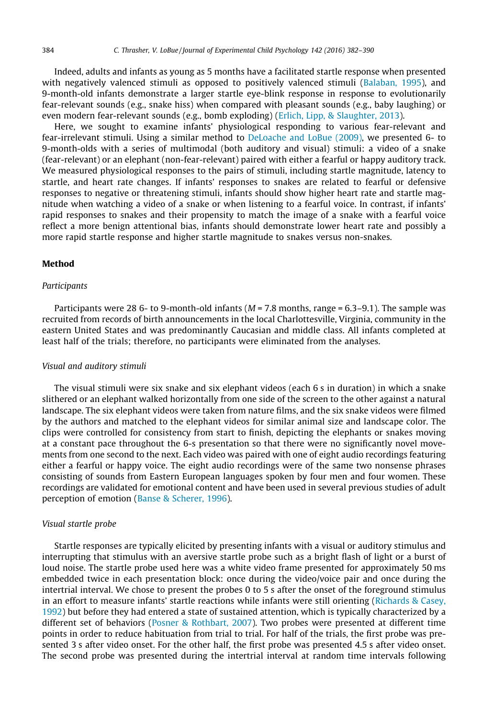Indeed, adults and infants as young as 5 months have a facilitated startle response when presented with negatively valenced stimuli as opposed to positively valenced stimuli [\(Balaban, 1995](#page-7-0)), and 9-month-old infants demonstrate a larger startle eye-blink response in response to evolutionarily fear-relevant sounds (e.g., snake hiss) when compared with pleasant sounds (e.g., baby laughing) or even modern fear-relevant sounds (e.g., bomb exploding) ([Erlich, Lipp, & Slaughter, 2013\)](#page-8-0).

Here, we sought to examine infants' physiological responding to various fear-relevant and fear-irrelevant stimuli. Using a similar method to [DeLoache and LoBue \(2009\),](#page-8-0) we presented 6- to 9-month-olds with a series of multimodal (both auditory and visual) stimuli: a video of a snake (fear-relevant) or an elephant (non-fear-relevant) paired with either a fearful or happy auditory track. We measured physiological responses to the pairs of stimuli, including startle magnitude, latency to startle, and heart rate changes. If infants' responses to snakes are related to fearful or defensive responses to negative or threatening stimuli, infants should show higher heart rate and startle magnitude when watching a video of a snake or when listening to a fearful voice. In contrast, if infants' rapid responses to snakes and their propensity to match the image of a snake with a fearful voice reflect a more benign attentional bias, infants should demonstrate lower heart rate and possibly a more rapid startle response and higher startle magnitude to snakes versus non-snakes.

# Method

# **Participants**

Participants were 28 6- to 9-month-old infants ( $M = 7.8$  months, range  $= 6.3 - 9.1$ ). The sample was recruited from records of birth announcements in the local Charlottesville, Virginia, community in the eastern United States and was predominantly Caucasian and middle class. All infants completed at least half of the trials; therefore, no participants were eliminated from the analyses.

#### Visual and auditory stimuli

The visual stimuli were six snake and six elephant videos (each 6 s in duration) in which a snake slithered or an elephant walked horizontally from one side of the screen to the other against a natural landscape. The six elephant videos were taken from nature films, and the six snake videos were filmed by the authors and matched to the elephant videos for similar animal size and landscape color. The clips were controlled for consistency from start to finish, depicting the elephants or snakes moving at a constant pace throughout the 6-s presentation so that there were no significantly novel movements from one second to the next. Each video was paired with one of eight audio recordings featuring either a fearful or happy voice. The eight audio recordings were of the same two nonsense phrases consisting of sounds from Eastern European languages spoken by four men and four women. These recordings are validated for emotional content and have been used in several previous studies of adult perception of emotion [\(Banse & Scherer, 1996](#page-7-0)).

## Visual startle probe

Startle responses are typically elicited by presenting infants with a visual or auditory stimulus and interrupting that stimulus with an aversive startle probe such as a bright flash of light or a burst of loud noise. The startle probe used here was a white video frame presented for approximately 50 ms embedded twice in each presentation block: once during the video/voice pair and once during the intertrial interval. We chose to present the probes 0 to 5 s after the onset of the foreground stimulus in an effort to measure infants' startle reactions while infants were still orienting ([Richards & Casey,](#page-8-0) [1992\)](#page-8-0) but before they had entered a state of sustained attention, which is typically characterized by a different set of behaviors ([Posner & Rothbart, 2007\)](#page-8-0). Two probes were presented at different time points in order to reduce habituation from trial to trial. For half of the trials, the first probe was presented 3 s after video onset. For the other half, the first probe was presented 4.5 s after video onset. The second probe was presented during the intertrial interval at random time intervals following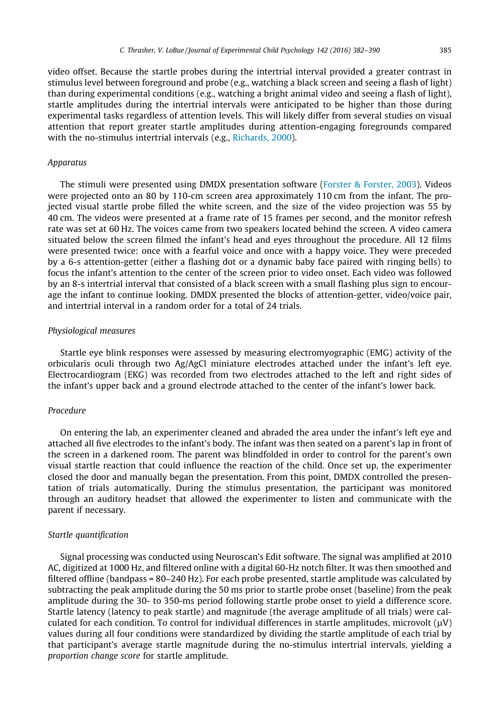video offset. Because the startle probes during the intertrial interval provided a greater contrast in stimulus level between foreground and probe (e.g., watching a black screen and seeing a flash of light) than during experimental conditions (e.g., watching a bright animal video and seeing a flash of light), startle amplitudes during the intertrial intervals were anticipated to be higher than those during experimental tasks regardless of attention levels. This will likely differ from several studies on visual attention that report greater startle amplitudes during attention-engaging foregrounds compared with the no-stimulus intertrial intervals (e.g., [Richards, 2000](#page-8-0)).

#### Apparatus

The stimuli were presented using DMDX presentation software [\(Forster & Forster, 2003\)](#page-8-0). Videos were projected onto an 80 by 110-cm screen area approximately 110 cm from the infant. The projected visual startle probe filled the white screen, and the size of the video projection was 55 by 40 cm. The videos were presented at a frame rate of 15 frames per second, and the monitor refresh rate was set at 60 Hz. The voices came from two speakers located behind the screen. A video camera situated below the screen filmed the infant's head and eyes throughout the procedure. All 12 films were presented twice: once with a fearful voice and once with a happy voice. They were preceded by a 6-s attention-getter (either a flashing dot or a dynamic baby face paired with ringing bells) to focus the infant's attention to the center of the screen prior to video onset. Each video was followed by an 8-s intertrial interval that consisted of a black screen with a small flashing plus sign to encourage the infant to continue looking. DMDX presented the blocks of attention-getter, video/voice pair, and intertrial interval in a random order for a total of 24 trials.

# Physiological measures

Startle eye blink responses were assessed by measuring electromyographic (EMG) activity of the orbicularis oculi through two Ag/AgCl miniature electrodes attached under the infant's left eye. Electrocardiogram (EKG) was recorded from two electrodes attached to the left and right sides of the infant's upper back and a ground electrode attached to the center of the infant's lower back.

# Procedure

On entering the lab, an experimenter cleaned and abraded the area under the infant's left eye and attached all five electrodes to the infant's body. The infant was then seated on a parent's lap in front of the screen in a darkened room. The parent was blindfolded in order to control for the parent's own visual startle reaction that could influence the reaction of the child. Once set up, the experimenter closed the door and manually began the presentation. From this point, DMDX controlled the presentation of trials automatically. During the stimulus presentation, the participant was monitored through an auditory headset that allowed the experimenter to listen and communicate with the parent if necessary.

#### Startle quantification

Signal processing was conducted using Neuroscan's Edit software. The signal was amplified at 2010 AC, digitized at 1000 Hz, and filtered online with a digital 60-Hz notch filter. It was then smoothed and filtered offline (bandpass = 80–240 Hz). For each probe presented, startle amplitude was calculated by subtracting the peak amplitude during the 50 ms prior to startle probe onset (baseline) from the peak amplitude during the 30- to 350-ms period following startle probe onset to yield a difference score. Startle latency (latency to peak startle) and magnitude (the average amplitude of all trials) were calculated for each condition. To control for individual differences in startle amplitudes, microvolt  $(\mu V)$ values during all four conditions were standardized by dividing the startle amplitude of each trial by that participant's average startle magnitude during the no-stimulus intertrial intervals, yielding a proportion change score for startle amplitude.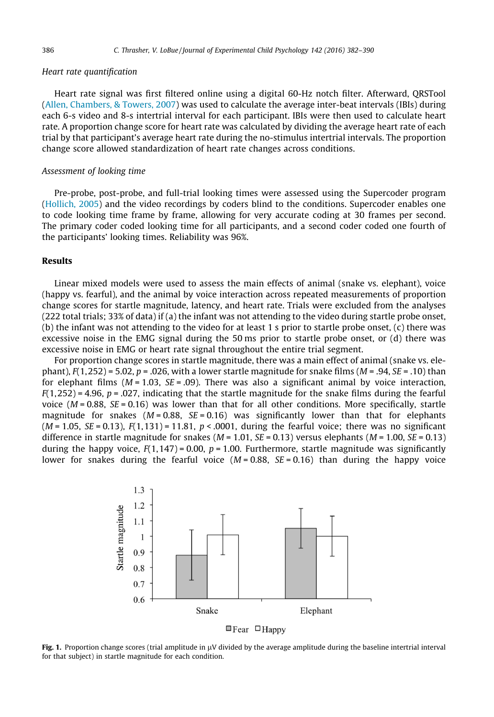# <span id="page-4-0"></span>Heart rate quantification

Heart rate signal was first filtered online using a digital 60-Hz notch filter. Afterward, QRSTool ([Allen, Chambers, & Towers, 2007\)](#page-7-0) was used to calculate the average inter-beat intervals (IBIs) during each 6-s video and 8-s intertrial interval for each participant. IBIs were then used to calculate heart rate. A proportion change score for heart rate was calculated by dividing the average heart rate of each trial by that participant's average heart rate during the no-stimulus intertrial intervals. The proportion change score allowed standardization of heart rate changes across conditions.

# Assessment of looking time

Pre-probe, post-probe, and full-trial looking times were assessed using the Supercoder program ([Hollich, 2005\)](#page-8-0) and the video recordings by coders blind to the conditions. Supercoder enables one to code looking time frame by frame, allowing for very accurate coding at 30 frames per second. The primary coder coded looking time for all participants, and a second coder coded one fourth of the participants' looking times. Reliability was 96%.

# Results

Linear mixed models were used to assess the main effects of animal (snake vs. elephant), voice (happy vs. fearful), and the animal by voice interaction across repeated measurements of proportion change scores for startle magnitude, latency, and heart rate. Trials were excluded from the analyses (222 total trials; 33% of data) if (a) the infant was not attending to the video during startle probe onset, (b) the infant was not attending to the video for at least 1 s prior to startle probe onset, (c) there was excessive noise in the EMG signal during the 50 ms prior to startle probe onset, or (d) there was excessive noise in EMG or heart rate signal throughout the entire trial segment.

For proportion change scores in startle magnitude, there was a main effect of animal (snake vs. elephant),  $F(1,252) = 5.02$ ,  $p = .026$ , with a lower startle magnitude for snake films ( $M = .94$ ,  $SE = .10$ ) than for elephant films  $(M = 1.03, SE = .09)$ . There was also a significant animal by voice interaction,  $F(1,252) = 4.96$ ,  $p = .027$ , indicating that the startle magnitude for the snake films during the fearful voice ( $M = 0.88$ ,  $SE = 0.16$ ) was lower than that for all other conditions. More specifically, startle magnitude for snakes ( $M = 0.88$ ,  $SE = 0.16$ ) was significantly lower than that for elephants  $(M = 1.05, SE = 0.13)$ ,  $F(1,131) = 11.81$ ,  $p < .0001$ , during the fearful voice; there was no significant difference in startle magnitude for snakes ( $M = 1.01$ ,  $SE = 0.13$ ) versus elephants ( $M = 1.00$ ,  $SE = 0.13$ ) during the happy voice,  $F(1,147) = 0.00$ ,  $p = 1.00$ . Furthermore, startle magnitude was significantly lower for snakes during the fearful voice  $(M = 0.88, SE = 0.16)$  than during the happy voice





Fig. 1. Proportion change scores (trial amplitude in  $\mu$ V divided by the average amplitude during the baseline intertrial interval for that subject) in startle magnitude for each condition.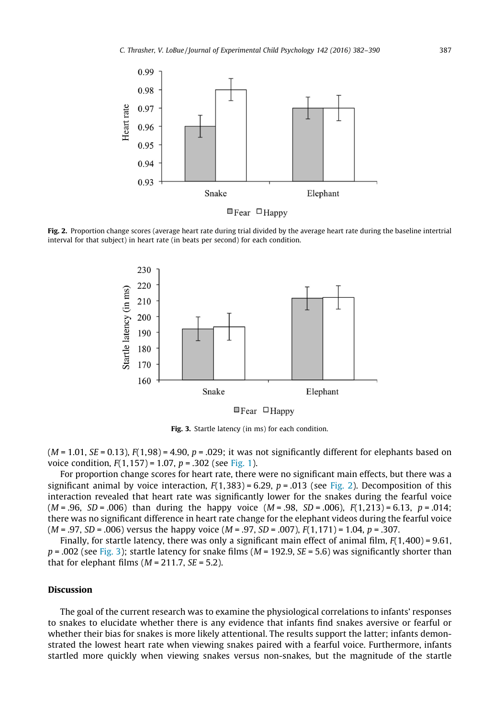

Fig. 2. Proportion change scores (average heart rate during trial divided by the average heart rate during the baseline intertrial interval for that subject) in heart rate (in beats per second) for each condition.



Fig. 3. Startle latency (in ms) for each condition.

 $(M = 1.01, SE = 0.13)$ ,  $F(1,98) = 4.90$ ,  $p = .029$ ; it was not significantly different for elephants based on voice condition,  $F(1,157) = 1.07$ ,  $p = .302$  (see [Fig. 1](#page-4-0)).

For proportion change scores for heart rate, there were no significant main effects, but there was a significant animal by voice interaction,  $F(1,383) = 6.29$ ,  $p = .013$  (see Fig. 2). Decomposition of this interaction revealed that heart rate was significantly lower for the snakes during the fearful voice  $(M = .96, SD = .006)$  than during the happy voice  $(M = .98, SD = .006)$ ,  $F(1,213) = 6.13$ ,  $p = .014$ ; there was no significant difference in heart rate change for the elephant videos during the fearful voice  $(M = .97, SD = .006)$  versus the happy voice  $(M = .97, SD = .007)$ ,  $F(1,171) = 1.04$ ,  $p = .307$ .

Finally, for startle latency, there was only a significant main effect of animal film,  $F(1,400) = 9.61$ ,  $p = .002$  (see Fig. 3); startle latency for snake films ( $M = 192.9$ ,  $SE = 5.6$ ) was significantly shorter than that for elephant films ( $M = 211.7$ ,  $SE = 5.2$ ).

#### **Discussion**

The goal of the current research was to examine the physiological correlations to infants' responses to snakes to elucidate whether there is any evidence that infants find snakes aversive or fearful or whether their bias for snakes is more likely attentional. The results support the latter; infants demonstrated the lowest heart rate when viewing snakes paired with a fearful voice. Furthermore, infants startled more quickly when viewing snakes versus non-snakes, but the magnitude of the startle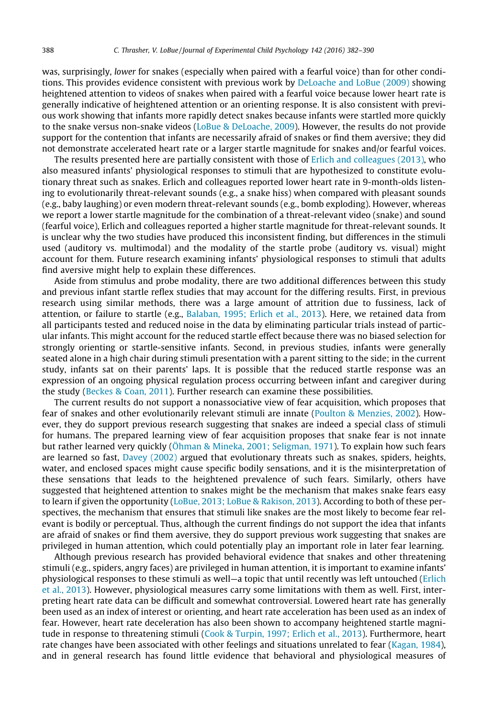was, surprisingly, lower for snakes (especially when paired with a fearful voice) than for other conditions. This provides evidence consistent with previous work by [DeLoache and LoBue \(2009\)](#page-8-0) showing heightened attention to videos of snakes when paired with a fearful voice because lower heart rate is generally indicative of heightened attention or an orienting response. It is also consistent with previous work showing that infants more rapidly detect snakes because infants were startled more quickly to the snake versus non-snake videos ([LoBue & DeLoache, 2009](#page-8-0)). However, the results do not provide support for the contention that infants are necessarily afraid of snakes or find them aversive; they did not demonstrate accelerated heart rate or a larger startle magnitude for snakes and/or fearful voices.

The results presented here are partially consistent with those of [Erlich and colleagues \(2013\),](#page-8-0) who also measured infants' physiological responses to stimuli that are hypothesized to constitute evolutionary threat such as snakes. Erlich and colleagues reported lower heart rate in 9-month-olds listening to evolutionarily threat-relevant sounds (e.g., a snake hiss) when compared with pleasant sounds (e.g., baby laughing) or even modern threat-relevant sounds (e.g., bomb exploding). However, whereas we report a lower startle magnitude for the combination of a threat-relevant video (snake) and sound (fearful voice), Erlich and colleagues reported a higher startle magnitude for threat-relevant sounds. It is unclear why the two studies have produced this inconsistent finding, but differences in the stimuli used (auditory vs. multimodal) and the modality of the startle probe (auditory vs. visual) might account for them. Future research examining infants' physiological responses to stimuli that adults find aversive might help to explain these differences.

Aside from stimulus and probe modality, there are two additional differences between this study and previous infant startle reflex studies that may account for the differing results. First, in previous research using similar methods, there was a large amount of attrition due to fussiness, lack of attention, or failure to startle (e.g., [Balaban, 1995; Erlich et al., 2013\)](#page-7-0). Here, we retained data from all participants tested and reduced noise in the data by eliminating particular trials instead of particular infants. This might account for the reduced startle effect because there was no biased selection for strongly orienting or startle-sensitive infants. Second, in previous studies, infants were generally seated alone in a high chair during stimuli presentation with a parent sitting to the side; in the current study, infants sat on their parents' laps. It is possible that the reduced startle response was an expression of an ongoing physical regulation process occurring between infant and caregiver during the study [\(Beckes & Coan, 2011](#page-7-0)). Further research can examine these possibilities.

The current results do not support a nonassociative view of fear acquisition, which proposes that fear of snakes and other evolutionarily relevant stimuli are innate [\(Poulton & Menzies, 2002\)](#page-8-0). However, they do support previous research suggesting that snakes are indeed a special class of stimuli for humans. The prepared learning view of fear acquisition proposes that snake fear is not innate but rather learned very quickly [\(Öhman & Mineka, 2001; Seligman, 1971](#page-8-0)). To explain how such fears are learned so fast, [Davey \(2002\)](#page-8-0) argued that evolutionary threats such as snakes, spiders, heights, water, and enclosed spaces might cause specific bodily sensations, and it is the misinterpretation of these sensations that leads to the heightened prevalence of such fears. Similarly, others have suggested that heightened attention to snakes might be the mechanism that makes snake fears easy to learn if given the opportunity ([LoBue, 2013; LoBue & Rakison, 2013\)](#page-8-0). According to both of these perspectives, the mechanism that ensures that stimuli like snakes are the most likely to become fear relevant is bodily or perceptual. Thus, although the current findings do not support the idea that infants are afraid of snakes or find them aversive, they do support previous work suggesting that snakes are privileged in human attention, which could potentially play an important role in later fear learning.

Although previous research has provided behavioral evidence that snakes and other threatening stimuli (e.g., spiders, angry faces) are privileged in human attention, it is important to examine infants' physiological responses to these stimuli as well—a topic that until recently was left untouched ([Erlich](#page-8-0) [et al., 2013\)](#page-8-0). However, physiological measures carry some limitations with them as well. First, interpreting heart rate data can be difficult and somewhat controversial. Lowered heart rate has generally been used as an index of interest or orienting, and heart rate acceleration has been used as an index of fear. However, heart rate deceleration has also been shown to accompany heightened startle magnitude in response to threatening stimuli ([Cook & Turpin, 1997; Erlich et al., 2013](#page-8-0)). Furthermore, heart rate changes have been associated with other feelings and situations unrelated to fear [\(Kagan, 1984\)](#page-8-0), and in general research has found little evidence that behavioral and physiological measures of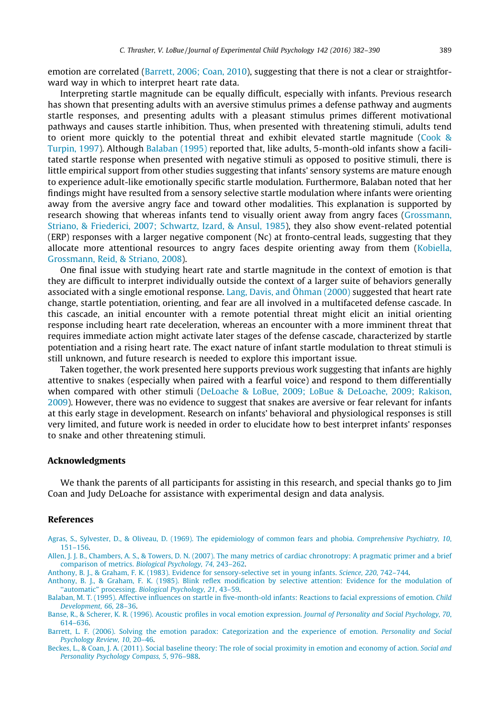<span id="page-7-0"></span>emotion are correlated (Barrett, 2006; Coan, 2010), suggesting that there is not a clear or straightforward way in which to interpret heart rate data.

Interpreting startle magnitude can be equally difficult, especially with infants. Previous research has shown that presenting adults with an aversive stimulus primes a defense pathway and augments startle responses, and presenting adults with a pleasant stimulus primes different motivational pathways and causes startle inhibition. Thus, when presented with threatening stimuli, adults tend to orient more quickly to the potential threat and exhibit elevated startle magnitude ([Cook &](#page-8-0) [Turpin, 1997\)](#page-8-0). Although Balaban (1995) reported that, like adults, 5-month-old infants show a facilitated startle response when presented with negative stimuli as opposed to positive stimuli, there is little empirical support from other studies suggesting that infants' sensory systems are mature enough to experience adult-like emotionally specific startle modulation. Furthermore, Balaban noted that her findings might have resulted from a sensory selective startle modulation where infants were orienting away from the aversive angry face and toward other modalities. This explanation is supported by research showing that whereas infants tend to visually orient away from angry faces [\(Grossmann,](#page-8-0) [Striano, & Friederici, 2007; Schwartz, Izard, & Ansul, 1985](#page-8-0)), they also show event-related potential (ERP) responses with a larger negative component (Nc) at fronto-central leads, suggesting that they allocate more attentional resources to angry faces despite orienting away from them [\(Kobiella,](#page-8-0) [Grossmann, Reid, & Striano, 2008](#page-8-0)).

One final issue with studying heart rate and startle magnitude in the context of emotion is that they are difficult to interpret individually outside the context of a larger suite of behaviors generally associated with a single emotional response. [Lang, Davis, and Öhman \(2000\)](#page-8-0) suggested that heart rate change, startle potentiation, orienting, and fear are all involved in a multifaceted defense cascade. In this cascade, an initial encounter with a remote potential threat might elicit an initial orienting response including heart rate deceleration, whereas an encounter with a more imminent threat that requires immediate action might activate later stages of the defense cascade, characterized by startle potentiation and a rising heart rate. The exact nature of infant startle modulation to threat stimuli is still unknown, and future research is needed to explore this important issue.

Taken together, the work presented here supports previous work suggesting that infants are highly attentive to snakes (especially when paired with a fearful voice) and respond to them differentially when compared with other stimuli [\(DeLoache & LoBue, 2009; LoBue & DeLoache, 2009; Rakison,](#page-8-0) [2009](#page-8-0)). However, there was no evidence to suggest that snakes are aversive or fear relevant for infants at this early stage in development. Research on infants' behavioral and physiological responses is still very limited, and future work is needed in order to elucidate how to best interpret infants' responses to snake and other threatening stimuli.

# Acknowledgments

We thank the parents of all participants for assisting in this research, and special thanks go to Jim Coan and Judy DeLoache for assistance with experimental design and data analysis.

# References

[Agras, S., Sylvester, D., & Oliveau, D. \(1969\). The epidemiology of common fears and phobia.](http://refhub.elsevier.com/S0022-0965(15)00217-9/h0005) Comprehensive Psychiatry, 10, [151–156](http://refhub.elsevier.com/S0022-0965(15)00217-9/h0005).

[Allen, J. J. B., Chambers, A. S., & Towers, D. N. \(2007\). The many metrics of cardiac chronotropy: A pragmatic primer and a brief](http://refhub.elsevier.com/S0022-0965(15)00217-9/h0010) comparison of metrics. [Biological Psychology, 74](http://refhub.elsevier.com/S0022-0965(15)00217-9/h0010), 243–262.

[Anthony, B. J., & Graham, F. K. \(1983\). Evidence for sensory-selective set in young infants.](http://refhub.elsevier.com/S0022-0965(15)00217-9/h0015) Science, 220, 742–744.

[Anthony, B. J., & Graham, F. K. \(1985\). Blink reflex modification by selective attention: Evidence for the modulation of](http://refhub.elsevier.com/S0022-0965(15)00217-9/h0020) [''automatic"](http://refhub.elsevier.com/S0022-0965(15)00217-9/h0020) processing. [Biological Psychology, 21](http://refhub.elsevier.com/S0022-0965(15)00217-9/h0020), 43–59.

[Balaban, M. T. \(1995\). Affective influences on startle in five-month-old infants: Reactions to facial expressions of emotion.](http://refhub.elsevier.com/S0022-0965(15)00217-9/h0025) Child [Development, 66](http://refhub.elsevier.com/S0022-0965(15)00217-9/h0025), 28–36.

[Banse, R., & Scherer, K. R. \(1996\). Acoustic profiles in vocal emotion expression.](http://refhub.elsevier.com/S0022-0965(15)00217-9/h0030) Journal of Personality and Social Psychology, 70, [614–636](http://refhub.elsevier.com/S0022-0965(15)00217-9/h0030).

[Barrett, L. F. \(2006\). Solving the emotion paradox: Categorization and the experience of emotion.](http://refhub.elsevier.com/S0022-0965(15)00217-9/h0035) Personality and Social [Psychology Review, 10](http://refhub.elsevier.com/S0022-0965(15)00217-9/h0035), 20–46.

[Beckes, L., & Coan, J. A. \(2011\). Social baseline theory: The role of social proximity in emotion and economy of action.](http://refhub.elsevier.com/S0022-0965(15)00217-9/h0040) Social and [Personality Psychology Compass, 5](http://refhub.elsevier.com/S0022-0965(15)00217-9/h0040), 976–988.